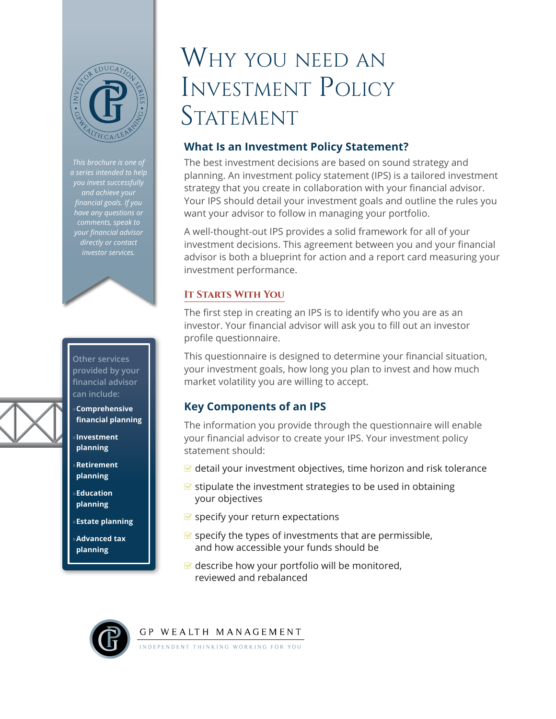

*you invest successfully and achieve your financial goals. If you have any questions or comments, speak to your financial advisor directly or contact investor services.*



- »**Estate planning**
- »**Advanced tax planning**

# Why you need an Investment Policy STATEMENT

## **What Is an Investment Policy Statement?**

The best investment decisions are based on sound strategy and planning. An investment policy statement (IPS) is a tailored investment strategy that you create in collaboration with your financial advisor. Your IPS should detail your investment goals and outline the rules you want your advisor to follow in managing your portfolio.

A well-thought-out IPS provides a solid framework for all of your investment decisions. This agreement between you and your financial advisor is both a blueprint for action and a report card measuring your investment performance.

### **It Starts With You**

The first step in creating an IPS is to identify who you are as an investor. Your financial advisor will ask you to fill out an investor profile questionnaire.

This questionnaire is designed to determine your financial situation, your investment goals, how long you plan to invest and how much market volatility you are willing to accept.

## **Key Components of an IPS**

The information you provide through the questionnaire will enable your financial advisor to create your IPS. Your investment policy statement should:

- $\blacktriangleright$  detail your investment objectives, time horizon and risk tolerance
- $\blacktriangleright$  stipulate the investment strategies to be used in obtaining your objectives
- $\blacktriangleright$  specify your return expectations
- $\blacktriangleright$  specify the types of investments that are permissible, and how accessible your funds should be
- $\blacktriangleright$  describe how your portfolio will be monitored, reviewed and rebalanced



GP WEALTH MANAGEMENT

NDEPENDENT THINKING WORKING FOR YOU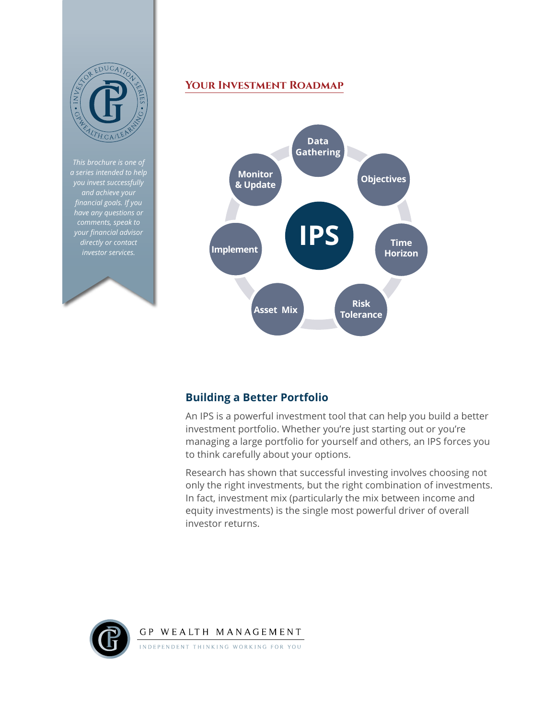

*This brochure is one of a series intended to help and achieve your financial goals. If you have any questions or comments, speak to your financial advisor directly or contact investor services.*

### **Your Investment Roadmap**



### **Building a Better Portfolio**

An IPS is a powerful investment tool that can help you build a better investment portfolio. Whether you're just starting out or you're managing a large portfolio for yourself and others, an IPS forces you to think carefully about your options.

Research has shown that successful investing involves choosing not only the right investments, but the right combination of investments. In fact, investment mix (particularly the mix between income and equity investments) is the single most powerful driver of overall investor returns.